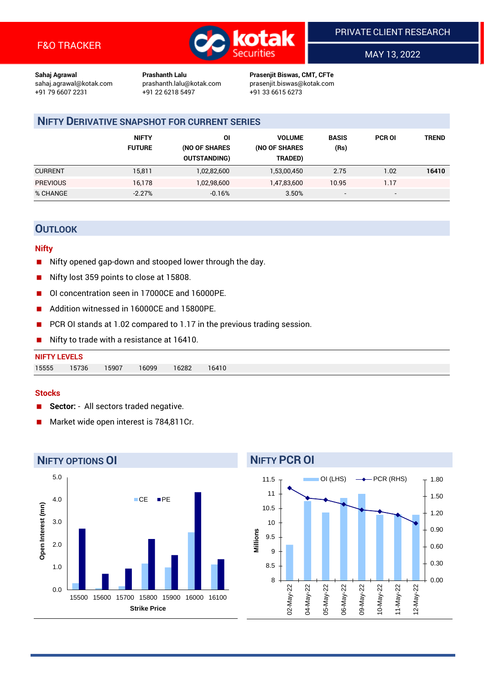

MAY 13, 2022

**Sahaj Agrawal Prashanth Lalu Prasenjit Biswas, CMT, CFTe** +91 22 6218 5497 +91 33 6615 6273

sahaj.agrawal@kotak.com [prashanth.lalu@kotak.com](mailto:prashanth.lalu@kotak.com) prasenjit.biswas@kotak.com

# **NIFTY DERIVATIVE SNAPSHOT FOR CURRENT SERIES**

|                 | <b>NIFTY</b><br><b>FUTURE</b> | ΟI<br>(NO OF SHARES<br><b>OUTSTANDING)</b> | <b>VOLUME</b><br>(NO OF SHARES<br>TRADED) | <b>BASIS</b><br>(Rs)     | <b>PCR OI</b> | TREND |
|-----------------|-------------------------------|--------------------------------------------|-------------------------------------------|--------------------------|---------------|-------|
| <b>CURRENT</b>  | 15,811                        | 1,02,82,600                                | 1,53,00,450                               | 2.75                     | 1.02          | 16410 |
| <b>PREVIOUS</b> | 16,178                        | 1,02,98,600                                | 1,47,83,600                               | 10.95                    | 1.17          |       |
| % CHANGE        | $-2.27%$                      | $-0.16%$                                   | 3.50%                                     | $\overline{\phantom{a}}$ | -             |       |

# **OUTLOOK**

#### **Nifty**

- Nifty opened gap-down and stooped lower through the day.
- Nifty lost 359 points to close at 15808.
- OI concentration seen in 17000CE and 16000PE.
- Addition witnessed in 16000CE and 15800PE.
- PCR OI stands at 1.02 compared to 1.17 in the previous trading session.
- Nifty to trade with a resistance at 16410.

| 15555 | 15736 | 15907 | 16099 | 16282 | 16410 |
|-------|-------|-------|-------|-------|-------|

#### **Stocks**

- **Sector:** All sectors traded negative.
- Market wide open interest is 784,811Cr.



# **NIFTY PCR OI**

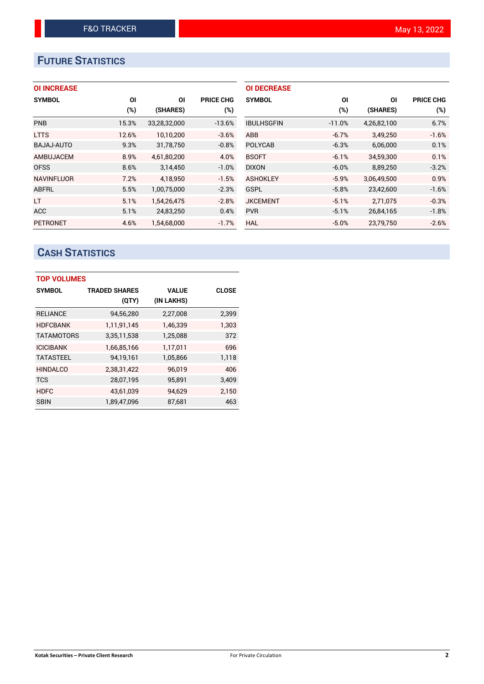# **FUTURE STATISTICS**

|  |  | <b>OI INCREASE</b> |
|--|--|--------------------|
|  |  |                    |

| <b>SYMBOL</b>     | <b>OI</b> | ΟI           | <b>PRICE CHG</b> |
|-------------------|-----------|--------------|------------------|
|                   | (%)       | (SHARES)     | $(\%)$           |
| <b>PNB</b>        | 15.3%     | 33,28,32,000 | $-13.6%$         |
| <b>LTTS</b>       | 12.6%     | 10,10,200    | $-3.6%$          |
| BAJAJ-AUTO        | 9.3%      | 31,78,750    | $-0.8%$          |
| AMBUJACEM         | 8.9%      | 4,61,80,200  | 4.0%             |
| <b>OFSS</b>       | 8.6%      | 3,14,450     | $-1.0%$          |
| <b>NAVINFLUOR</b> | 7.2%      | 4,18,950     | $-1.5%$          |
| ABFRL             | 5.5%      | 1,00,75,000  | $-2.3%$          |
| LT.               | 5.1%      | 1,54,26,475  | $-2.8%$          |
| <b>ACC</b>        | 5.1%      | 24,83,250    | 0.4%             |
| <b>PETRONET</b>   | 4.6%      | 1,54,68,000  | $-1.7%$          |

| <b>OI DECREASE</b> |          |             |                  |
|--------------------|----------|-------------|------------------|
| <b>SYMBOL</b>      | ΟI       | ΟI          | <b>PRICE CHG</b> |
|                    | $(\%)$   | (SHARES)    | $(\%)$           |
| <b>IBULHSGFIN</b>  | $-11.0%$ | 4,26,82,100 | 6.7%             |
| ABB                | $-6.7%$  | 3,49,250    | $-1.6%$          |
| <b>POLYCAB</b>     | $-6.3%$  | 6,06,000    | 0.1%             |
| <b>BSOFT</b>       | $-6.1%$  | 34.59.300   | 0.1%             |
| <b>DIXON</b>       | $-6.0%$  | 8,89,250    | $-3.2%$          |
| <b>ASHOKLEY</b>    | $-5.9%$  | 3,06,49,500 | 0.9%             |
| GSPL               | $-5.8%$  | 23,42,600   | $-1.6%$          |
| <b>JKCEMENT</b>    | $-5.1%$  | 2,71,075    | $-0.3%$          |
| <b>PVR</b>         | $-5.1%$  | 26.84.165   | $-1.8%$          |
| HAL                | $-5.0%$  | 23,79,750   | $-2.6%$          |

# **CASH STATISTICS**

| <b>TOP VOLUMES</b> |                      |            |              |
|--------------------|----------------------|------------|--------------|
| <b>SYMBOL</b>      | <b>TRADED SHARES</b> | VALUE      | <b>CLOSE</b> |
|                    | (QTY)                | (IN LAKHS) |              |
| <b>RELIANCE</b>    | 94,56,280            | 2,27,008   | 2,399        |
| <b>HDFCBANK</b>    | 1,11,91,145          | 1,46,339   | 1,303        |
| <b>TATAMOTORS</b>  | 3,35,11,538          | 1,25,088   | 372          |
| <b>ICICIBANK</b>   | 1,66,85,166          | 1,17,011   | 696          |
| <b>TATASTEEL</b>   | 94,19,161            | 1,05,866   | 1,118        |
| <b>HINDALCO</b>    | 2,38,31,422          | 96,019     | 406          |
| <b>TCS</b>         | 28,07,195            | 95,891     | 3,409        |
| <b>HDFC</b>        | 43,61,039            | 94,629     | 2,150        |
| <b>SBIN</b>        | 1,89,47,096          | 87,681     | 463          |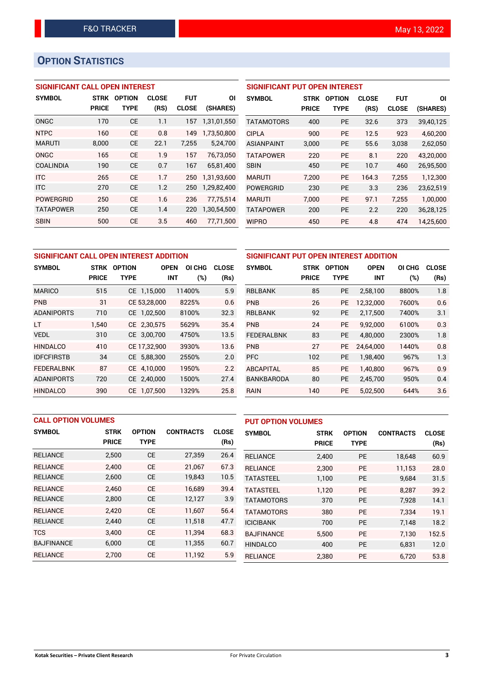# **OPTION STATISTICS**

#### **SIGNIFICANT CALL OPEN INTEREST**

| <b>SYMBOL</b>    | <b>STRK</b>  | <b>OPTION</b> | <b>CLOSE</b> | <b>FUT</b>   | ΟI          |
|------------------|--------------|---------------|--------------|--------------|-------------|
|                  | <b>PRICE</b> | <b>TYPE</b>   | (RS)         | <b>CLOSE</b> | (SHARES)    |
| ONGC             | 170          | <b>CE</b>     | 1.1          | 157          | 1,31,01,550 |
| <b>NTPC</b>      | 160          | <b>CE</b>     | 0.8          | 149          | 1,73,50,800 |
| <b>MARUTI</b>    | 8,000        | СE            | 22.1         | 7,255        | 5,24,700    |
| ONGC             | 165          | <b>CE</b>     | 1.9          | 157          | 76,73,050   |
| <b>COALINDIA</b> | 190          | <b>CE</b>     | 0.7          | 167          | 65,81,400   |
| <b>ITC</b>       | 265          | <b>CE</b>     | 1.7          | 250          | 1,31,93,600 |
| <b>ITC</b>       | 270          | <b>CE</b>     | 1.2          | 250          | 1,29,82,400 |
| <b>POWERGRID</b> | 250          | <b>CE</b>     | 1.6          | 236          | 77,75,514   |
| <b>TATAPOWER</b> | 250          | <b>CE</b>     | 1.4          | 220          | 1,30,54,500 |
| <b>SBIN</b>      | 500          | <b>CE</b>     | 3.5          | 460          | 77.71.500   |

#### **SIGNIFICANT PUT OPEN INTEREST**

| <b>SYMBOL</b>     | <b>STRK</b><br><b>PRICE</b> | <b>OPTION</b><br><b>TYPE</b> | <b>CLOSE</b><br>(RS) | <b>FUT</b><br><b>CLOSE</b> | ΟI<br>(SHARES) |
|-------------------|-----------------------------|------------------------------|----------------------|----------------------------|----------------|
| <b>TATAMOTORS</b> | 400                         | PF                           | 32.6                 | 373                        | 39,40,125      |
| <b>CIPLA</b>      | 900                         | <b>PE</b>                    | 12.5                 | 923                        | 4,60,200       |
| <b>ASIANPAINT</b> | 3,000                       | PF                           | 55.6                 | 3,038                      | 2,62,050       |
| <b>TATAPOWER</b>  | 220                         | PF                           | 8.1                  | 220                        | 43,20,000      |
| <b>SBIN</b>       | 450                         | PF                           | 10.7                 | 460                        | 26,95,500      |
| <b>MARUTI</b>     | 7.200                       | PF                           | 164.3                | 7,255                      | 1,12,300       |
| <b>POWERGRID</b>  | 230                         | <b>PE</b>                    | 3.3                  | 236                        | 23,62,519      |
| <b>MARUTI</b>     | 7.000                       | <b>PE</b>                    | 97.1                 | 7.255                      | 1,00,000       |
| <b>TATAPOWER</b>  | 200                         | <b>PE</b>                    | 2.2                  | 220                        | 36,28,125      |
| WIPRO             | 450                         | <b>PE</b>                    | 4.8                  | 474                        | 14,25,600      |

## **SIGNIFICANT CALL OPEN INTEREST ADDITION SYMBOL STRK OPTION OPEN OI CHG CLOSE PRICE TYPE INT (%) (Rs)** MARICO 515 CE 1,15,000 11400% 5.9 PNB 31 CE 53,28,000 8225% 0.6 ADANIPORTS 710 CE 1,02,500 8100% 32.3 LT 1,540 CE 2,30,575 5629% 35.4 VEDL 310 CE 3,00,700 4750% 13.5 HINDALCO 410 CE 17,32,900 3930% 13.6 IDFCFIRSTB 34 CE 5,88,300 2550% 2.0 FEDERALBNK 87 CE 4,10,000 1950% 2.2 ADANIPORTS 720 CE 2,40,000 1500% 27.4 HINDALCO 390 CE 1,07,500 1329% 25.8

| SIGNIFICANT PUT OPEN INTEREST ADDITION |              |               |             |        |              |  |  |  |  |
|----------------------------------------|--------------|---------------|-------------|--------|--------------|--|--|--|--|
| <b>SYMBOL</b>                          | <b>STRK</b>  | <b>OPTION</b> | <b>OPEN</b> | OI CHG | <b>CLOSE</b> |  |  |  |  |
|                                        | <b>PRICE</b> | TYPE          | <b>INT</b>  | (%)    | (Rs)         |  |  |  |  |
| <b>RBLBANK</b>                         | 85           | <b>PE</b>     | 2,58,100    | 8800%  | 1.8          |  |  |  |  |
| <b>PNB</b>                             | 26           | <b>PE</b>     | 12,32,000   | 7600%  | 0.6          |  |  |  |  |
| <b>RBLBANK</b>                         | 92           | <b>PE</b>     | 2,17,500    | 7400%  | 3.1          |  |  |  |  |
| <b>PNB</b>                             | 24           | <b>PE</b>     | 9,92,000    | 6100%  | 0.3          |  |  |  |  |
| <b>FEDERALBNK</b>                      | 83           | <b>PE</b>     | 4,80,000    | 2300%  | 1.8          |  |  |  |  |
| <b>PNB</b>                             | 27           | <b>PE</b>     | 24.64.000   | 1440%  | 0.8          |  |  |  |  |
| <b>PFC</b>                             | 102          | <b>PE</b>     | 1,98,400    | 967%   | 1.3          |  |  |  |  |
| <b>ABCAPITAL</b>                       | 85           | <b>PE</b>     | 1,40,800    | 967%   | 0.9          |  |  |  |  |
| <b>BANKBARODA</b>                      | 80           | <b>PE</b>     | 2,45,700    | 950%   | 0.4          |  |  |  |  |
| RAIN                                   | 140          | <b>PE</b>     | 5,02,500    | 644%   | 3.6          |  |  |  |  |

|                   | <b>CALL OPTION VOLUMES</b> |               |                  |              | <b>PUT OPTION VOLUMES</b> |              |               |                  |              |
|-------------------|----------------------------|---------------|------------------|--------------|---------------------------|--------------|---------------|------------------|--------------|
| <b>SYMBOL</b>     | <b>STRK</b>                | <b>OPTION</b> | <b>CONTRACTS</b> | <b>CLOSE</b> | <b>SYMBOL</b>             | <b>STRK</b>  | <b>OPTION</b> | <b>CONTRACTS</b> | <b>CLOSE</b> |
|                   | <b>PRICE</b>               | <b>TYPE</b>   |                  | (Rs)         |                           | <b>PRICE</b> | <b>TYPE</b>   |                  | (Rs)         |
| <b>RELIANCE</b>   | 2,500                      | <b>CE</b>     | 27,359           | 26.4         | <b>RELIANCE</b>           | 2,400        | <b>PE</b>     | 18,648           | 60.9         |
| <b>RELIANCE</b>   | 2.400                      | <b>CE</b>     | 21,067           | 67.3         | <b>RELIANCE</b>           | 2.300        | <b>PE</b>     | 11.153           | 28.0         |
| <b>RELIANCE</b>   | 2,600                      | <b>CE</b>     | 19,843           | 10.5         | <b>TATASTEEL</b>          | 1,100        | <b>PE</b>     | 9,684            | 31.5         |
| <b>RELIANCE</b>   | 2.460                      | <b>CE</b>     | 16,689           | 39.4         | <b>TATASTEEL</b>          | 1.120        | <b>PE</b>     | 8.287            | 39.2         |
| <b>RELIANCE</b>   | 2,800                      | <b>CE</b>     | 12,127           | 3.9          | <b>TATAMOTORS</b>         | 370          | <b>PE</b>     | 7,928            | 14.1         |
| <b>RELIANCE</b>   | 2.420                      | <b>CE</b>     | 11,607           | 56.4         | <b>TATAMOTORS</b>         | 380          | <b>PE</b>     | 7.334            | 19.1         |
| <b>RELIANCE</b>   | 2,440                      | <b>CE</b>     | 11,518           | 47.7         | <b>ICICIBANK</b>          | 700          | <b>PE</b>     | 7,148            | 18.2         |
| <b>TCS</b>        | 3.400                      | <b>CE</b>     | 11,394           | 68.3         | <b>BAJFINANCE</b>         | 5.500        | <b>PE</b>     | 7.130            | 152.5        |
| <b>BAJFINANCE</b> | 6.000                      | <b>CE</b>     | 11,355           | 60.7         | <b>HINDALCO</b>           | 400          | <b>PE</b>     | 6,831            | 12.0         |
| <b>RELIANCE</b>   | 2.700                      | <b>CE</b>     | 11,192           | 5.9          | <b>RELIANCE</b>           | 2,380        | <b>PE</b>     | 6,720            | 53.8         |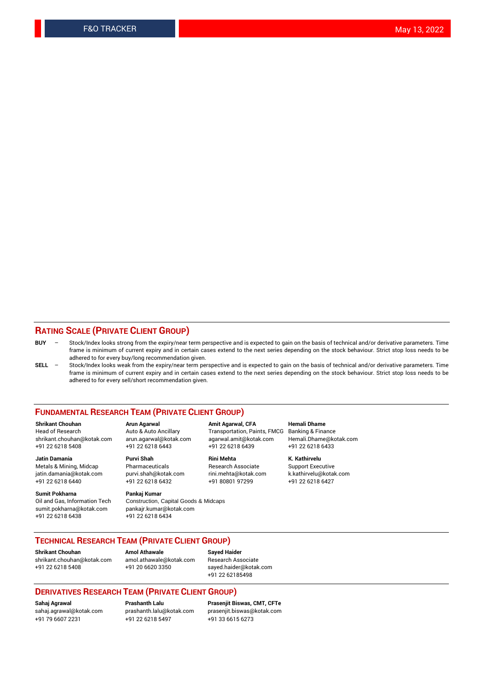#### **RATING SCALE (PRIVATE CLIENT GROUP)**

- **BUY**  Stock/Index looks strong from the expiry/near term perspective and is expected to gain on the basis of technical and/or derivative parameters. Time frame is minimum of current expiry and in certain cases extend to the next series depending on the stock behaviour. Strict stop loss needs to be adhered to for every buy/long recommendation given.
- **SELL** Stock/Index looks weak from the expiry/near term perspective and is expected to gain on the basis of technical and/or derivative parameters. Time frame is minimum of current expiry and in certain cases extend to the next series depending on the stock behaviour. Strict stop loss needs to be adhered to for every sell/short recommendation given.

#### **FUNDAMENTAL RESEARCH TEAM (PRIVATE CLIENT GROUP)**

**Shrikant Chouhan Arun Agarwal Amit Agarwal, CFA Hemali Dhame** shrikant.chouhan@kotak.com arun.agarwal@kotak.com agarwal.amit@kotak.com Hemali.Dhame@kotak.com +91 22 6218 5408 +91 22 6218 6443 +91 22 6218 6439 +91 22 6218 6433

Metals & Mining, Midcap Pharmaceuticals Pharmaceuticals Research Associate Support Executive<br>
iatin.damania@kotak.com purvi.shah@kotak.com rini.mehta@kotak.com k.kathirvelu@kotak.com jatin.damania@kotak.com

**Sumit Pokharna** Pankaj Kumar<br>Oil and Gas, Information Tech Construction, sumit.pokharna@kotak.com pankajr.kumar@kotak.com +91 22 6218 6438 +91 22 6218 6434

Construction, Capital Goods & Midcaps

Transportation, Paints, FMCG

**Jatin Damania Purvi Shah Rini Mehta K. Kathirvelu** +91 22 6218 6440 +91 22 6218 6432 +91 80801 97299 +91 22 6218 6427

### **TECHNICAL RESEARCH TEAM (PRIVATE CLIENT GROUP)**

**Shrikant Chouhan Amol Athawale Sayed Haider** [shrikant.chouhan@kotak.com](mailto:shrikant.chouhan@kotak.com) [amol.athawale@kotak.com](mailto:amol.athawale@kotak.com) Research Associate

+91 22 6218 5408 +91 20 6620 3350 [sayed.haider@kotak.com](mailto:sayed.haider@kotak.com) +91 22 62185498

#### **DERIVATIVES RESEARCH TEAM (PRIVATE CLIENT GROUP)**

+91 79 6607 2231 +91 22 6218 5497 +91 33 6615 6273

**Sahaj Agrawal Prashanth Lalu Prasenjit Biswas, CMT, CFTe** [prasenjit.biswas@kotak.com](mailto:prasenjit.biswas@kotak.com)